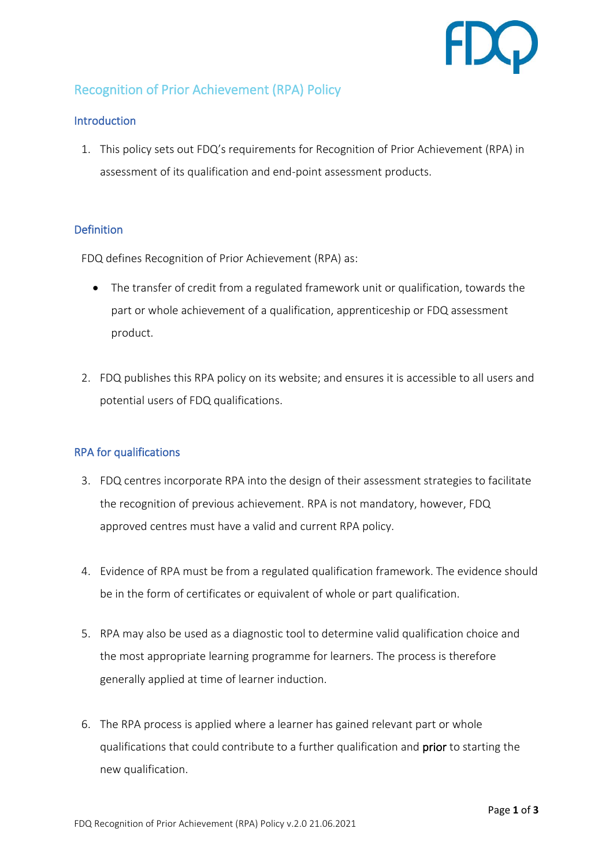

# Recognition of Prior Achievement (RPA) Policy

### **Introduction**

1. This policy sets out FDQ's requirements for Recognition of Prior Achievement (RPA) in assessment of its qualification and end-point assessment products.

### **Definition**

FDQ defines Recognition of Prior Achievement (RPA) as:

- The transfer of credit from a regulated framework unit or qualification, towards the part or whole achievement of a qualification, apprenticeship or FDQ assessment product.
- 2. FDQ publishes this RPA policy on its website; and ensures it is accessible to all users and potential users of FDQ qualifications.

## RPA for qualifications

- 3. FDQ centres incorporate RPA into the design of their assessment strategies to facilitate the recognition of previous achievement. RPA is not mandatory, however, FDQ approved centres must have a valid and current RPA policy.
- 4. Evidence of RPA must be from a regulated qualification framework. The evidence should be in the form of certificates or equivalent of whole or part qualification.
- 5. RPA may also be used as a diagnostic tool to determine valid qualification choice and the most appropriate learning programme for learners. The process is therefore generally applied at time of learner induction.
- 6. The RPA process is applied where a learner has gained relevant part or whole qualifications that could contribute to a further qualification and prior to starting the new qualification.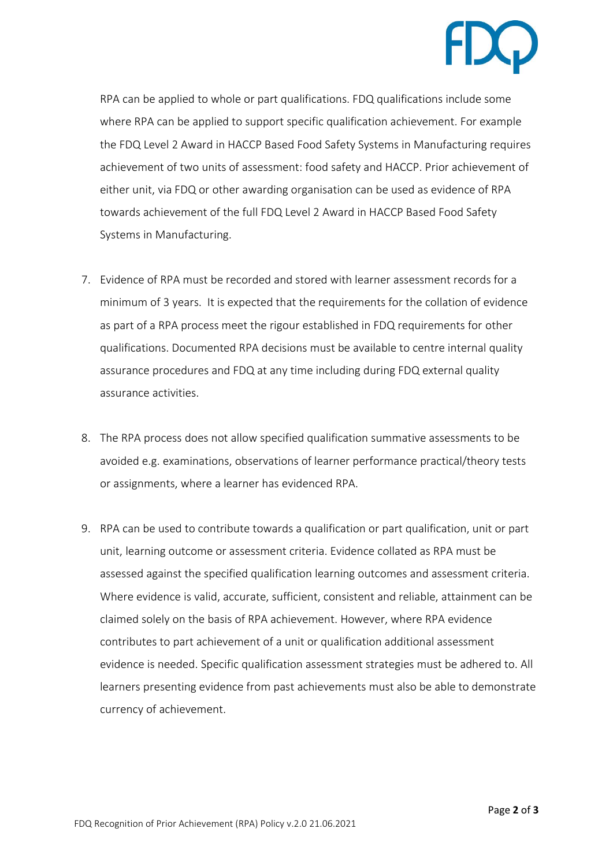

RPA can be applied to whole or part qualifications. FDQ qualifications include some where RPA can be applied to support specific qualification achievement. For example the FDQ Level 2 Award in HACCP Based Food Safety Systems in Manufacturing requires achievement of two units of assessment: food safety and HACCP. Prior achievement of either unit, via FDQ or other awarding organisation can be used as evidence of RPA towards achievement of the full FDQ Level 2 Award in HACCP Based Food Safety Systems in Manufacturing.

- 7. Evidence of RPA must be recorded and stored with learner assessment records for a minimum of 3 years. It is expected that the requirements for the collation of evidence as part of a RPA process meet the rigour established in FDQ requirements for other qualifications. Documented RPA decisions must be available to centre internal quality assurance procedures and FDQ at any time including during FDQ external quality assurance activities.
- 8. The RPA process does not allow specified qualification summative assessments to be avoided e.g. examinations, observations of learner performance practical/theory tests or assignments, where a learner has evidenced RPA.
- 9. RPA can be used to contribute towards a qualification or part qualification, unit or part unit, learning outcome or assessment criteria. Evidence collated as RPA must be assessed against the specified qualification learning outcomes and assessment criteria. Where evidence is valid, accurate, sufficient, consistent and reliable, attainment can be claimed solely on the basis of RPA achievement. However, where RPA evidence contributes to part achievement of a unit or qualification additional assessment evidence is needed. Specific qualification assessment strategies must be adhered to. All learners presenting evidence from past achievements must also be able to demonstrate currency of achievement.